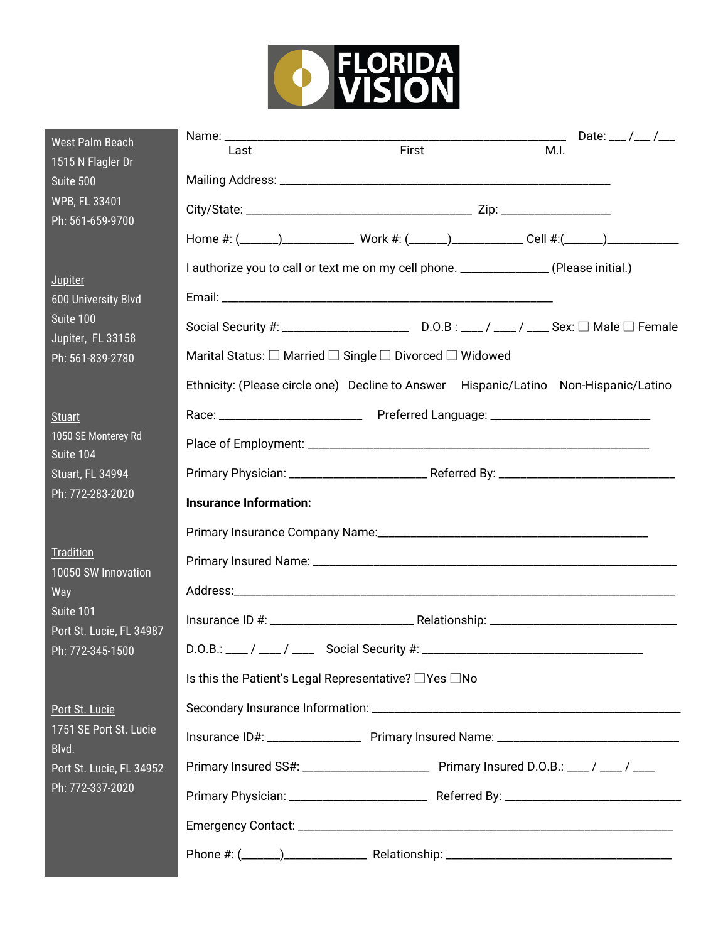

| <b>West Palm Beach</b><br>1515 N Flagler Dr                                                        | Date: ___ /___ /___<br>First<br>M.I.<br>Last                                           |
|----------------------------------------------------------------------------------------------------|----------------------------------------------------------------------------------------|
| Suite 500<br>WPB, FL 33401<br>Ph: 561-659-9700                                                     |                                                                                        |
|                                                                                                    |                                                                                        |
|                                                                                                    |                                                                                        |
| <b>Jupiter</b><br><b>600 University Blvd</b><br>Suite 100<br>Jupiter, FL 33158<br>Ph: 561-839-2780 | I authorize you to call or text me on my cell phone. _______________ (Please initial.) |
|                                                                                                    |                                                                                        |
|                                                                                                    |                                                                                        |
|                                                                                                    | Marital Status: □ Married □ Single □ Divorced □ Widowed                                |
|                                                                                                    | Ethnicity: (Please circle one) Decline to Answer Hispanic/Latino Non-Hispanic/Latino   |
| <b>Stuart</b>                                                                                      |                                                                                        |
| 1050 SE Monterey Rd<br>Suite 104                                                                   |                                                                                        |
| <b>Stuart, FL 34994</b>                                                                            |                                                                                        |
| Ph: 772-283-2020                                                                                   | <b>Insurance Information:</b>                                                          |
|                                                                                                    |                                                                                        |
| Tradition<br>10050 SW Innovation                                                                   |                                                                                        |
| Way<br>Suite 101<br>Port St. Lucie, FL 34987<br>Ph: 772-345-1500                                   |                                                                                        |
|                                                                                                    |                                                                                        |
|                                                                                                    |                                                                                        |
|                                                                                                    | Is this the Patient's Legal Representative? □Yes □No                                   |
| Port St. Lucie<br>1751 SE Port St. Lucie<br>Blvd.<br>Port St. Lucie, FL 34952<br>Ph: 772-337-2020  |                                                                                        |
|                                                                                                    |                                                                                        |
|                                                                                                    | Primary Insured SS#: __________________________ Primary Insured D.O.B.: ___/ ___/ ____ |
|                                                                                                    |                                                                                        |
|                                                                                                    |                                                                                        |
|                                                                                                    |                                                                                        |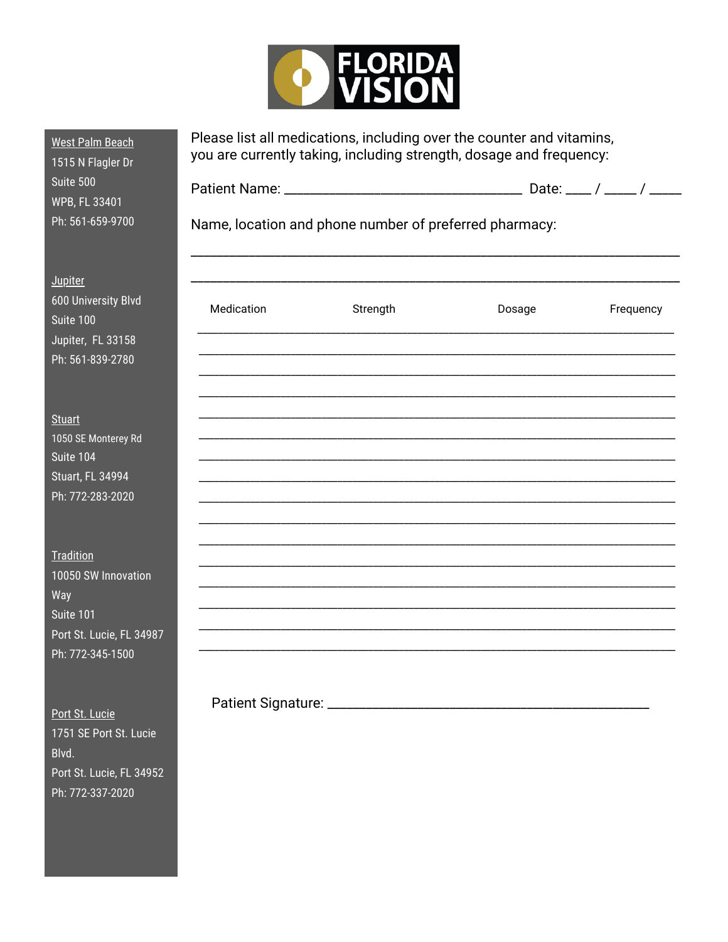

| <b>West Palm Beach</b><br>1515 N Flagler Dr<br>Suite 500<br>WPB, FL 33401<br>Ph: 561-659-9700        |            | Please list all medications, including over the counter and vitamins,<br>you are currently taking, including strength, dosage and frequency:<br>Name, location and phone number of preferred pharmacy: |        |           |
|------------------------------------------------------------------------------------------------------|------------|--------------------------------------------------------------------------------------------------------------------------------------------------------------------------------------------------------|--------|-----------|
| <b>Jupiter</b><br>600 University Blvd<br>Suite 100<br>Jupiter, FL 33158<br>Ph: 561-839-2780          | Medication | Strength                                                                                                                                                                                               | Dosage | Frequency |
| <b>Stuart</b><br>1050 SE Monterey Rd<br>Suite 104<br>Stuart, FL 34994<br>Ph: 772-283-2020            |            |                                                                                                                                                                                                        |        |           |
| Tradition<br>10050 SW Innovation<br>Way<br>Suite 101<br>Port St. Lucie, FL 34987<br>Ph: 772-345-1500 |            |                                                                                                                                                                                                        |        |           |

Port St. Lucie 1751 SE Port St. Lucie Blvd. Port St. Lucie, FL 34952 Ph: 772-337-2020

Patient Signature: \_\_\_\_\_\_\_\_\_\_\_\_\_\_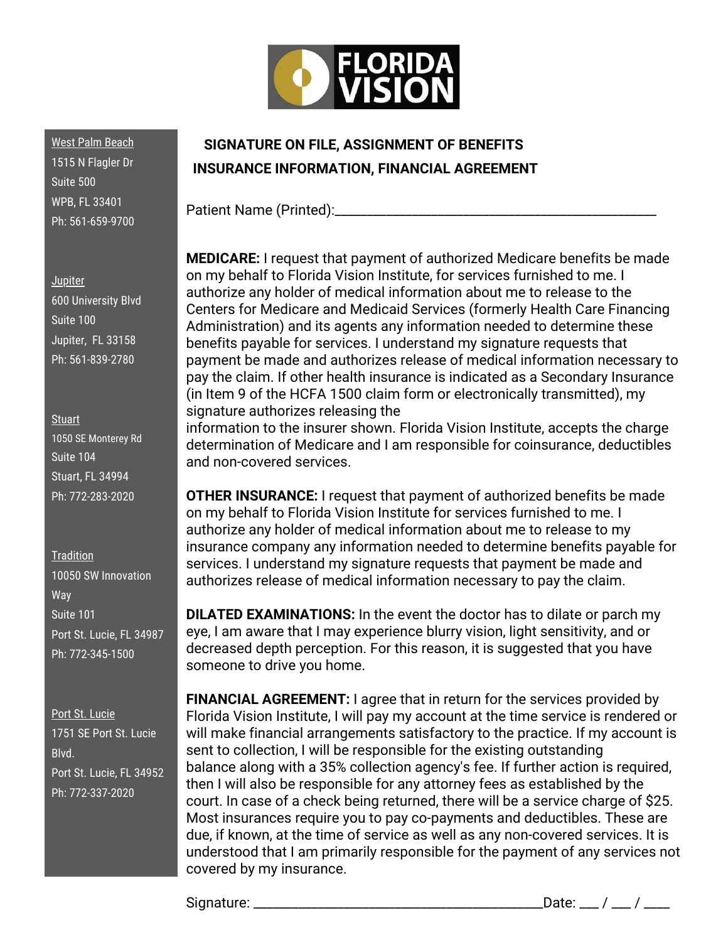

West Palm Beach 1515 N Flagler Dr Suite 500 WPB, FL 33401 Ph: 561-659-9700

**Jupiter** 

600 University Blvd Suite 100 Jupiter, FL 33158 Ph: 561-839-2780

**Stuart** 1050 SE Monterey Rd Suite 104 Stuart, FL 34994 Ph: 772-283-2020

**Tradition** 10050 SW Innovation Way Suite 101 Port St. Lucie, FL 34987 Ph: 772-345-1500

Port St. Lucie 1751 SE Port St. Lucie Blvd. Port St. Lucie, FL 34952 Ph: 772-337-2020

## **SIGNATURE ON FILE, ASSIGNMENT OF BENEFITS INSURANCE INFORMATION, FINANCIAL AGREEMENT**

Patient Name (Printed):\_\_\_\_\_\_\_\_\_\_

**MEDICARE:** I request that payment of authorized Medicare benefits be made on my behalf to Florida Vision Institute, for services furnished to me. I authorize any holder of medical information about me to release to the Centers for Medicare and Medicaid Services (formerly Health Care Financing Administration) and its agents any information needed to determine these benefits payable for services. I understand my signature requests that payment be made and authorizes release of medical information necessary to pay the claim. If other health insurance is indicated as a Secondary Insurance (in Item 9 of the HCFA 1500 claim form or electronically transmitted), my signature authorizes releasing the

information to the insurer shown. Florida Vision Institute, accepts the charge determination of Medicare and I am responsible for coinsurance, deductibles and non-covered services.

**OTHER INSURANCE:** I request that payment of authorized benefits be made on my behalf to Florida Vision Institute for services furnished to me. I authorize any holder of medical information about me to release to my insurance company any information needed to determine benefits payable for services. I understand my signature requests that payment be made and authorizes release of medical information necessary to pay the claim.

**DILATED EXAMINATIONS:** In the event the doctor has to dilate or parch my eye, I am aware that I may experience blurry vision, light sensitivity, and or decreased depth perception. For this reason, it is suggested that you have someone to drive you home.

**FINANCIAL AGREEMENT:** I agree that in return for the services provided by Florida Vision Institute, I will pay my account at the time service is rendered or will make financial arrangements satisfactory to the practice. If my account is sent to collection, I will be responsible for the existing outstanding balance along with a 35% collection agency's fee. If further action is required, then I will also be responsible for any attorney fees as established by the court. In case of a check being returned, there will be a service charge of \$25. Most insurances require you to pay co-payments and deductibles. These are due, if known, at the time of service as well as any non-covered services. It is understood that I am primarily responsible for the payment of any services not covered by my insurance.

Signature: \_\_\_\_\_\_\_\_\_\_\_\_\_\_\_\_\_\_\_\_\_\_\_\_\_\_\_\_\_\_\_\_\_\_\_\_\_\_\_\_\_\_\_\_\_Date: \_\_\_ / \_\_\_ / \_\_\_\_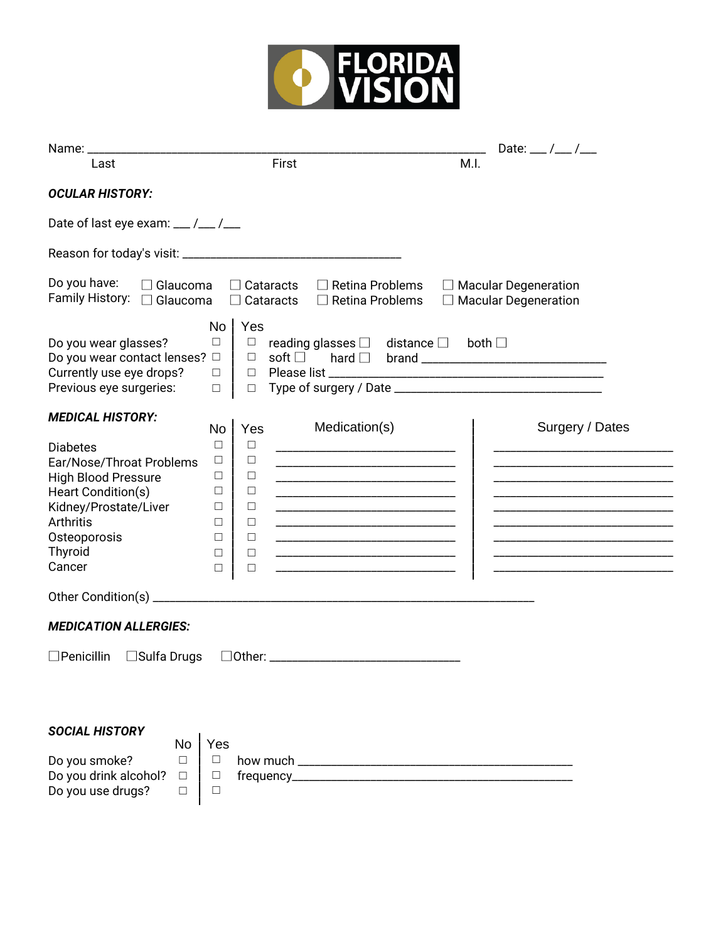

| Name:                                                                                                                                                                                                                                                                                    |                                                                                                                                                                                                                                                                                                                                                                          | Date: __ / __ / __                                                     |
|------------------------------------------------------------------------------------------------------------------------------------------------------------------------------------------------------------------------------------------------------------------------------------------|--------------------------------------------------------------------------------------------------------------------------------------------------------------------------------------------------------------------------------------------------------------------------------------------------------------------------------------------------------------------------|------------------------------------------------------------------------|
| Last                                                                                                                                                                                                                                                                                     | First                                                                                                                                                                                                                                                                                                                                                                    | M.I.                                                                   |
| <b>OCULAR HISTORY:</b>                                                                                                                                                                                                                                                                   |                                                                                                                                                                                                                                                                                                                                                                          |                                                                        |
| Date of last eye exam: $\frac{1}{2}$ / $\frac{1}{2}$                                                                                                                                                                                                                                     |                                                                                                                                                                                                                                                                                                                                                                          |                                                                        |
|                                                                                                                                                                                                                                                                                          |                                                                                                                                                                                                                                                                                                                                                                          |                                                                        |
| Do you have:<br>$\Box$ Glaucoma<br>Family History: □ Glaucoma                                                                                                                                                                                                                            | $\Box$ Retina Problems<br>$\Box$ Cataracts<br>$\Box$ Retina Problems<br>$\Box$ Cataracts                                                                                                                                                                                                                                                                                 | $\Box$ Macular Degeneration<br>$\Box$ Macular Degeneration             |
| No<br>$\Box$<br>Do you wear glasses?<br>Do you wear contact lenses? $\Box$<br>Currently use eye drops?<br>$\Box$<br>Previous eye surgeries:<br>$\Box$                                                                                                                                    | Yes<br>$\Box$<br>reading glasses $\square$ distance $\square$<br>soft $\square$<br>$\Box$<br>$\Box$<br>$\Box$                                                                                                                                                                                                                                                            | both $\square$                                                         |
| <b>MEDICAL HISTORY:</b>                                                                                                                                                                                                                                                                  |                                                                                                                                                                                                                                                                                                                                                                          |                                                                        |
| <b>No</b><br>$\Box$<br><b>Diabetes</b><br>$\Box$<br>Ear/Nose/Throat Problems<br><b>High Blood Pressure</b><br>$\Box$<br>Heart Condition(s)<br>$\Box$<br>Kidney/Prostate/Liver<br>$\Box$<br><b>Arthritis</b><br>$\Box$<br>Osteoporosis<br>$\Box$<br>Thyroid<br>$\Box$<br>Cancer<br>$\Box$ | Medication(s)<br>Yes<br>$\Box$<br><u> 1980 - Johann Barn, mars an t-Amerikaansk politiker (</u><br>$\Box$<br>$\Box$<br>$\Box$<br><u> 1989 - Johann Barbara, martin amerikan basar dan berasal dalam basa dalam basar dalam basar dalam basa dalam</u><br>$\Box$<br>$\Box$<br>$\Box$<br>$\Box$<br>$\Box$<br><u> 1989 - Johann Barn, mars an t-Amerikaansk politiker (</u> | Surgery / Dates<br><u> 1989 - Johann Barbara, martxa alemaniar arg</u> |
| <b>MEDICATION ALLERGIES:</b>                                                                                                                                                                                                                                                             |                                                                                                                                                                                                                                                                                                                                                                          |                                                                        |
| $\Box$ Penicillin<br>□Sulfa Drugs                                                                                                                                                                                                                                                        |                                                                                                                                                                                                                                                                                                                                                                          |                                                                        |
| <b>SOCIAL HISTORY</b><br>Yes<br>No<br>$\Box$<br>Do you smoke?<br>$\Box$<br>Do you drink alcohol?<br>$\Box$<br>$\Box$<br>Do you use drugs?<br>$\Box$<br>$\Box$                                                                                                                            |                                                                                                                                                                                                                                                                                                                                                                          |                                                                        |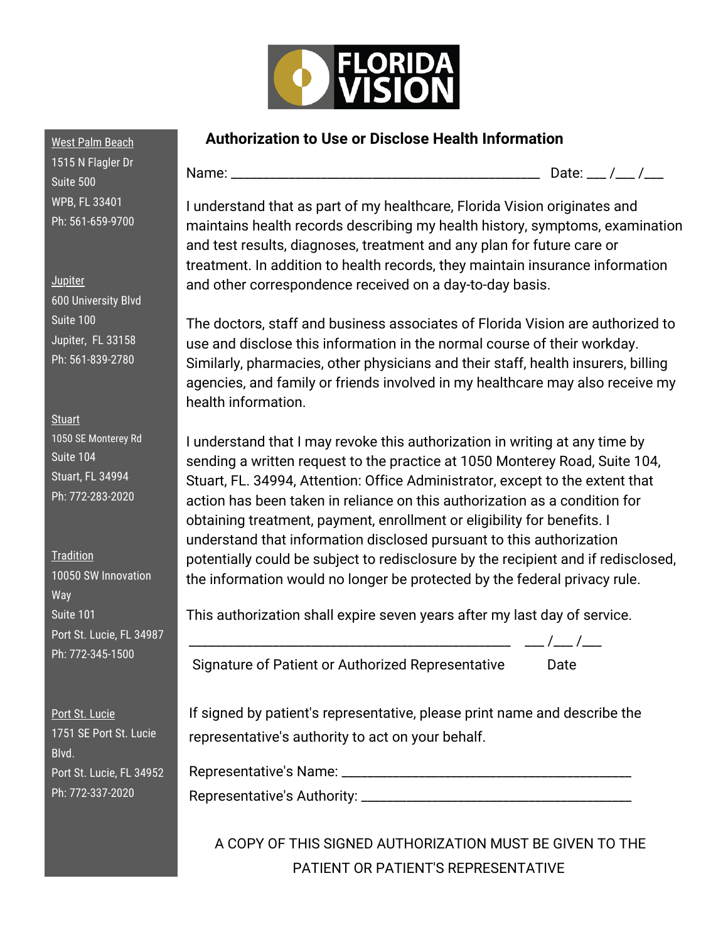

## **Authorization to Use or Disclose Health Information**

1515 N Flagler Dr Suite 500 WPB, FL 33401 Ph: 561-659-9700

West Palm Beach

Jupiter 600 University Blvd Suite 100 Jupiter, FL 33158 Ph: 561-839-2780

**Stuart** 1050 SE Monterey Rd Suite 104 Stuart, FL 34994 Ph: 772-283-2020

**Tradition** 10050 SW Innovation Way Suite 101 Port St. Lucie, FL 34987 Ph: 772-345-1500

Port St. Lucie 1751 SE Port St. Lucie Blvd. Port St. Lucie, FL 34952 Ph: 772-337-2020

Name: \_\_\_\_\_\_\_\_\_\_\_\_\_\_\_\_\_\_\_\_\_\_\_\_\_\_\_\_\_\_\_\_\_\_\_\_\_\_\_\_\_\_\_\_\_\_\_\_ Date: \_\_\_ /\_\_\_ /\_\_\_

I understand that as part of my healthcare, Florida Vision originates and maintains health records describing my health history, symptoms, examination and test results, diagnoses, treatment and any plan for future care or treatment. In addition to health records, they maintain insurance information and other correspondence received on a day-to-day basis.

The doctors, staff and business associates of Florida Vision are authorized to use and disclose this information in the normal course of their workday. Similarly, pharmacies, other physicians and their staff, health insurers, billing agencies, and family or friends involved in my healthcare may also receive my health information.

I understand that I may revoke this authorization in writing at any time by sending a written request to the practice at 1050 Monterey Road, Suite 104, Stuart, FL. 34994, Attention: Office Administrator, except to the extent that action has been taken in reliance on this authorization as a condition for obtaining treatment, payment, enrollment or eligibility for benefits. I understand that information disclosed pursuant to this authorization potentially could be subject to redisclosure by the recipient and if redisclosed, the information would no longer be protected by the federal privacy rule.

This authorization shall expire seven years after my last day of service.

Signature of Patient or Authorized Representative Date

 $\frac{1}{1-\frac{1}{1-\frac{1}{1-\frac{1}{1-\frac{1}{1-\frac{1}{1-\frac{1}{1-\frac{1}{1-\frac{1}{1-\frac{1}{1-\frac{1}{1-\frac{1}{1-\frac{1}{1-\frac{1}{1-\frac{1}{1-\frac{1}{1-\frac{1}{1-\frac{1}{1-\frac{1}{1-\frac{1}{1-\frac{1}{1-\frac{1}{1-\frac{1}{1-\frac{1}{1-\frac{1}{1-\frac{1}{1-\frac{1}{1-\frac{1}{1-\frac{1}{1-\frac{1}{1-\frac{1}{1-\frac{1}{1-\frac{1}{1-\frac{1}{1-\frac{1}{1-\frac{1}{1-\frac{1$ 

If signed by patient's representative, please print name and describe the representative's authority to act on your behalf.

Representative's Name: \_\_\_\_\_\_\_\_\_\_\_\_\_\_\_\_\_\_\_\_\_\_\_\_\_\_\_\_\_\_\_\_\_\_\_\_\_\_\_\_\_\_\_\_\_

Representative's Authority: \_\_\_\_\_\_\_\_\_\_\_\_\_\_\_\_\_\_\_\_\_\_\_\_\_\_\_\_\_\_\_\_\_\_\_\_\_\_\_\_\_\_

A COPY OF THIS SIGNED AUTHORIZATION MUST BE GIVEN TO THE PATIENT OR PATIENT'S REPRESENTATIVE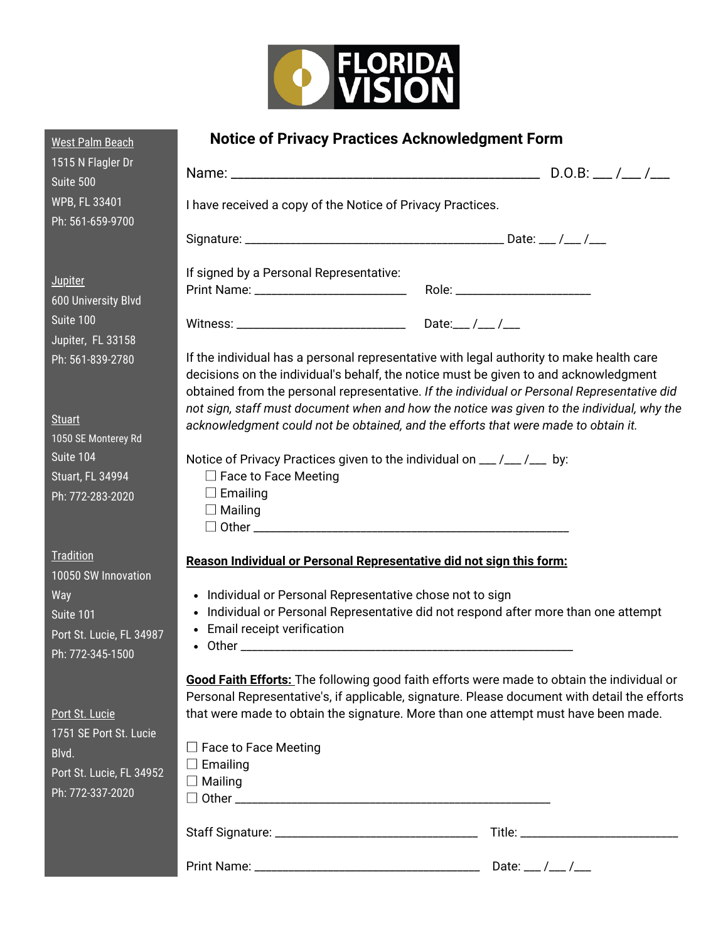

| <b>West Palm Beach</b>                       | <b>Notice of Privacy Practices Acknowledgment Form</b>                                                                                                                                                                                                                          |  |  |
|----------------------------------------------|---------------------------------------------------------------------------------------------------------------------------------------------------------------------------------------------------------------------------------------------------------------------------------|--|--|
| 1515 N Flagler Dr<br>Suite 500               |                                                                                                                                                                                                                                                                                 |  |  |
| <b>WPB, FL 33401</b><br>Ph: 561-659-9700     | I have received a copy of the Notice of Privacy Practices.                                                                                                                                                                                                                      |  |  |
|                                              |                                                                                                                                                                                                                                                                                 |  |  |
| <b>Jupiter</b><br>600 University Blvd        | If signed by a Personal Representative:                                                                                                                                                                                                                                         |  |  |
| Suite 100<br>Jupiter, FL 33158               |                                                                                                                                                                                                                                                                                 |  |  |
| Ph: 561-839-2780                             | If the individual has a personal representative with legal authority to make health care<br>decisions on the individual's behalf, the notice must be given to and acknowledgment<br>obtained from the personal representative. If the individual or Personal Representative did |  |  |
| <b>Stuart</b><br>1050 SE Monterey Rd         | not sign, staff must document when and how the notice was given to the individual, why the<br>acknowledgment could not be obtained, and the efforts that were made to obtain it.                                                                                                |  |  |
| Suite 104                                    | Notice of Privacy Practices given to the individual on __ /__ /__ by:                                                                                                                                                                                                           |  |  |
| <b>Stuart, FL 34994</b>                      | $\Box$ Face to Face Meeting<br>$\Box$ Emailing                                                                                                                                                                                                                                  |  |  |
| Ph: 772-283-2020                             | $\Box$ Mailing                                                                                                                                                                                                                                                                  |  |  |
| <b>Tradition</b><br>10050 SW Innovation      | Reason Individual or Personal Representative did not sign this form:                                                                                                                                                                                                            |  |  |
| Way                                          | • Individual or Personal Representative chose not to sign                                                                                                                                                                                                                       |  |  |
| Suite 101                                    | • Individual or Personal Representative did not respond after more than one attempt<br>• Email receipt verification                                                                                                                                                             |  |  |
| Port St. Lucie, FL 34987<br>Ph: 772-345-1500 |                                                                                                                                                                                                                                                                                 |  |  |
|                                              | Good Faith Efforts: The following good faith efforts were made to obtain the individual or                                                                                                                                                                                      |  |  |
| Port St. Lucie                               | Personal Representative's, if applicable, signature. Please document with detail the efforts<br>that were made to obtain the signature. More than one attempt must have been made.                                                                                              |  |  |
| 1751 SE Port St. Lucie                       |                                                                                                                                                                                                                                                                                 |  |  |
| Blvd.                                        | $\Box$ Face to Face Meeting<br>$\Box$ Emailing                                                                                                                                                                                                                                  |  |  |
| Port St. Lucie, FL 34952                     | $\Box$ Mailing                                                                                                                                                                                                                                                                  |  |  |
| Ph: 772-337-2020                             |                                                                                                                                                                                                                                                                                 |  |  |
|                                              |                                                                                                                                                                                                                                                                                 |  |  |
|                                              |                                                                                                                                                                                                                                                                                 |  |  |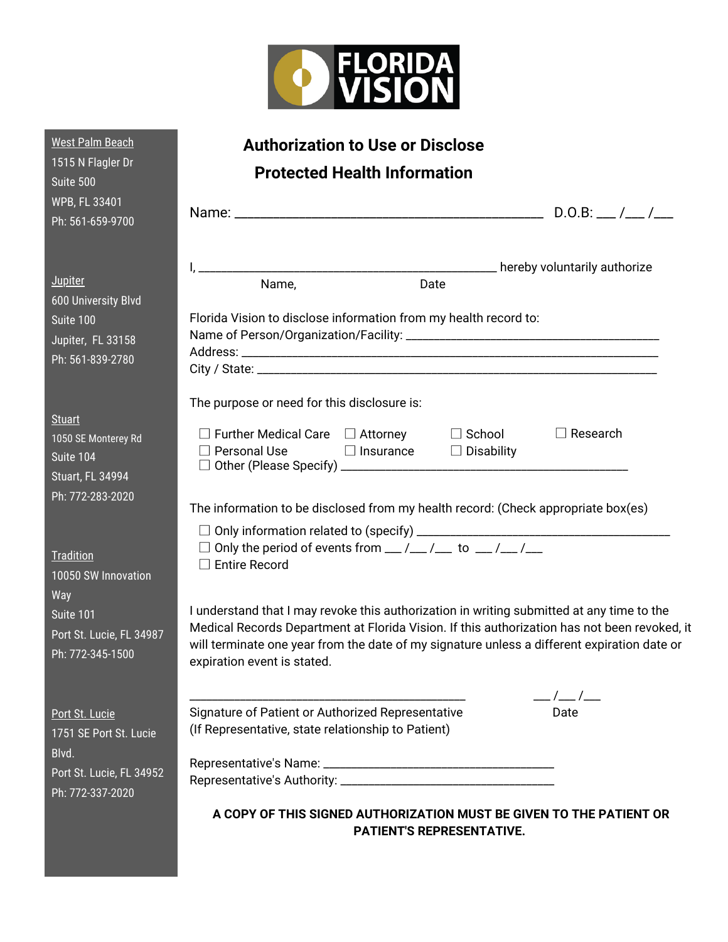

| <b>West Palm Beach</b>                                                                           | <b>Authorization to Use or Disclose</b>                                                                                                                                                                                                                                                                                 |
|--------------------------------------------------------------------------------------------------|-------------------------------------------------------------------------------------------------------------------------------------------------------------------------------------------------------------------------------------------------------------------------------------------------------------------------|
| 1515 N Flagler Dr<br>Suite 500                                                                   | <b>Protected Health Information</b>                                                                                                                                                                                                                                                                                     |
| WPB, FL 33401<br>Ph: 561-659-9700                                                                |                                                                                                                                                                                                                                                                                                                         |
| <b>Jupiter</b><br>600 University Blvd<br>Suite 100<br>Jupiter, FL 33158<br>Ph: 561-839-2780      | Name,<br>Date<br>Florida Vision to disclose information from my health record to:                                                                                                                                                                                                                                       |
| <b>Stuart</b><br>1050 SE Monterey Rd<br>Suite 104<br><b>Stuart, FL 34994</b><br>Ph: 772-283-2020 | The purpose or need for this disclosure is:<br>$\Box$ Further Medical Care $\Box$ Attorney $\Box$ School<br>$\Box$ Research<br>$\Box$ Personal Use<br>$\Box$ Insurance $\Box$ Disability<br>The information to be disclosed from my health record: (Check appropriate box(es)                                           |
| Tradition<br>10050 SW Innovation<br>Way                                                          | $\Box$ Only the period of events from $\Box / \Box / \Box$ to $\Box / \Box / \Box$<br>$\Box$ Entire Record                                                                                                                                                                                                              |
| Suite 101<br>Port St. Lucie, FL 34987<br>Ph: 772-345-1500                                        | I understand that I may revoke this authorization in writing submitted at any time to the<br>Medical Records Department at Florida Vision. If this authorization has not been revoked, it<br>will terminate one year from the date of my signature unless a different expiration date or<br>expiration event is stated. |
| Port St. Lucie<br>1751 SE Port St. Lucie<br>Blvd.                                                | $\frac{1}{2}$<br>Signature of Patient or Authorized Representative<br>Date<br>(If Representative, state relationship to Patient)                                                                                                                                                                                        |
| Port St. Lucie, FL 34952<br>Ph: 772-337-2020                                                     |                                                                                                                                                                                                                                                                                                                         |
|                                                                                                  | A COPY OF THIS SIGNED AUTHORIZATION MUST BE GIVEN TO THE PATIENT OR<br><b>PATIENT'S REPRESENTATIVE.</b>                                                                                                                                                                                                                 |